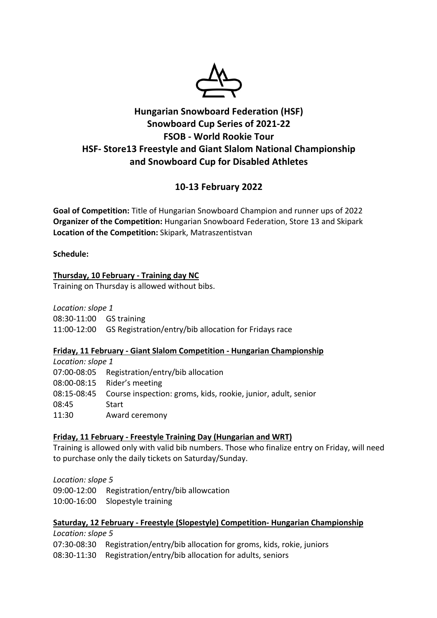

# **Hungarian Snowboard Federation (HSF) Snowboard Cup Series of 2021-22 FSOB - World Rookie Tour HSF- Store13 Freestyle and Giant Slalom National Championship and Snowboard Cup for Disabled Athletes**

# **10-13 February 2022**

**Goal of Competition:** Title of Hungarian Snowboard Champion and runner ups of 2022 **Organizer of the Competition:** Hungarian Snowboard Federation, Store 13 and Skipark **Location of the Competition:** Skipark, Matraszentistvan

**Schedule:**

## **Thursday, 10 February - Training day NC**

Training on Thursday is allowed without bibs.

*Location: slope 1* 08:30-11:00 GS training 11:00-12:00 GS Registration/entry/bib allocation for Fridays race

## **Friday, 11 February - Giant Slalom Competition - Hungarian Championship**

*Location: slope 1* 07:00-08:05 Registration/entry/bib allocation 08:00-08:15 Rider's meeting 08:15-08:45 Course inspection: groms, kids, rookie, junior, adult, senior 08:45 Start 11:30 Award ceremony

## **Friday, 11 February - Freestyle Training Day (Hungarian and WRT)**

Training is allowed only with valid bib numbers. Those who finalize entry on Friday, will need to purchase only the daily tickets on Saturday/Sunday.

*Location: slope 5*

09:00-12:00 Registration/entry/bib allowcation

10:00-16:00 Slopestyle training

### **Saturday, 12 February - Freestyle (Slopestyle) Competition- Hungarian Championship**

*Location: slope 5* 07:30-08:30 Registration/entry/bib allocation for groms, kids, rokie, juniors 08:30-11:30 Registration/entry/bib allocation for adults, seniors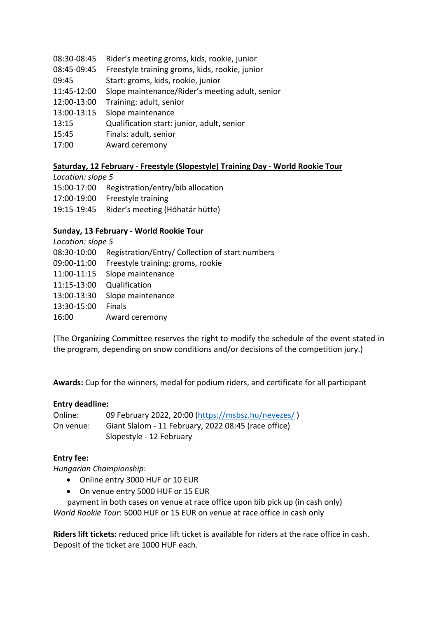- 08:30-08:45 Rider's meeting groms, kids, rookie, junior
- 08:45-09:45 Freestyle training groms, kids, rookie, junior
- 09:45 Start: groms, kids, rookie, junior
- 11:45-12:00 Slope maintenance/Rider's meeting adult, senior
- 12:00-13:00 Training: adult, senior
- 13:00-13:15 Slope maintenance
- 13:15 Qualification start: junior, adult, senior
- 15:45 Finals: adult, senior
- 17:00 Award ceremony

## **Saturday, 12 February - Freestyle (Slopestyle) Training Day - World Rookie Tour**

*Location: slope 5* 15:00-17:00 Registration/entry/bib allocation 17:00-19:00 Freestyle training 19:15-19:45 Rider's meeting (Hóhatár hütte)

### **Sunday, 13 February - World Rookie Tour**

| Location: slope 5 |                                                 |  |  |
|-------------------|-------------------------------------------------|--|--|
| 08:30-10:00       | Registration/Entry/ Collection of start numbers |  |  |
| 09:00-11:00       | Freestyle training: groms, rookie               |  |  |
| 11:00-11:15       | Slope maintenance                               |  |  |
| 11:15-13:00       | Qualification                                   |  |  |
| 13:00-13:30       | Slope maintenance                               |  |  |
| 13:30-15:00       | <b>Finals</b>                                   |  |  |
| 16:00             | Award ceremony                                  |  |  |

(The Organizing Committee reserves the right to modify the schedule of the event stated in the program, depending on snow conditions and/or decisions of the competition jury.)

**Awards:** Cup for the winners, medal for podium riders, and certificate for all participant

### **Entry deadline:**

| Online:   | 09 February 2022, 20:00 (https://msbsz.hu/nevezes/)  |
|-----------|------------------------------------------------------|
| On venue: | Giant Slalom - 11 February, 2022 08:45 (race office) |
|           | Slopestyle - 12 February                             |

### **Entry fee:**

*Hungarian Championship*:

- Online entry 3000 HUF or 10 EUR
- On venue entry 5000 HUF or 15 EUR

 payment in both cases on venue at race office upon bib pick up (in cash only) *World Rookie Tour*: 5000 HUF or 15 EUR on venue at race office in cash only

**Riders lift tickets:** reduced price lift ticket is available for riders at the race office in cash. Deposit of the ticket are 1000 HUF each.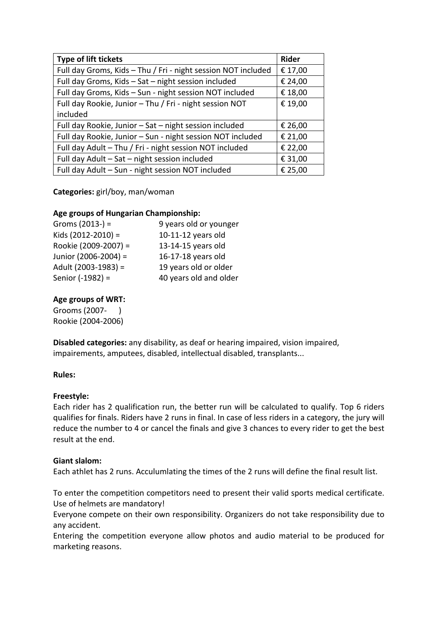| <b>Type of lift tickets</b>                                   | <b>Rider</b> |
|---------------------------------------------------------------|--------------|
| Full day Groms, Kids - Thu / Fri - night session NOT included | € 17,00      |
| Full day Groms, Kids - Sat - night session included           | € 24,00      |
| Full day Groms, Kids - Sun - night session NOT included       | € 18,00      |
| Full day Rookie, Junior - Thu / Fri - night session NOT       | € 19,00      |
| included                                                      |              |
| Full day Rookie, Junior - Sat - night session included        | € 26,00      |
| Full day Rookie, Junior - Sun - night session NOT included    | € 21,00      |
| Full day Adult - Thu / Fri - night session NOT included       | € 22,00      |
| Full day Adult - Sat - night session included                 | € 31,00      |
| Full day Adult - Sun - night session NOT included             | € 25,00      |

## **Categories:** girl/boy, man/woman

### **Age groups of Hungarian Championship:**

| Groms $(2013-) =$      | 9 years old or younger |
|------------------------|------------------------|
| Kids $(2012 - 2010) =$ | 10-11-12 years old     |
| Rookie (2009-2007) =   | 13-14-15 years old     |
| Junior (2006-2004) =   | 16-17-18 years old     |
| Adult (2003-1983) =    | 19 years old or older  |
| Senior (-1982) =       | 40 years old and older |

### **Age groups of WRT:**

Grooms (2007- ) Rookie (2004-2006)

**Disabled categories:** any disability, as deaf or hearing impaired, vision impaired, impairements, amputees, disabled, intellectual disabled, transplants...

### **Rules:**

#### **Freestyle:**

Each rider has 2 qualification run, the better run will be calculated to qualify. Top 6 riders qualifies for finals. Riders have 2 runs in final. In case of less riders in a category, the jury will reduce the number to 4 or cancel the finals and give 3 chances to every rider to get the best result at the end.

### **Giant slalom:**

Each athlet has 2 runs. Acculumlating the times of the 2 runs will define the final result list.

To enter the competition competitors need to present their valid sports medical certificate. Use of helmets are mandatory!

Everyone compete on their own responsibility. Organizers do not take responsibility due to any accident.

Entering the competition everyone allow photos and audio material to be produced for marketing reasons.